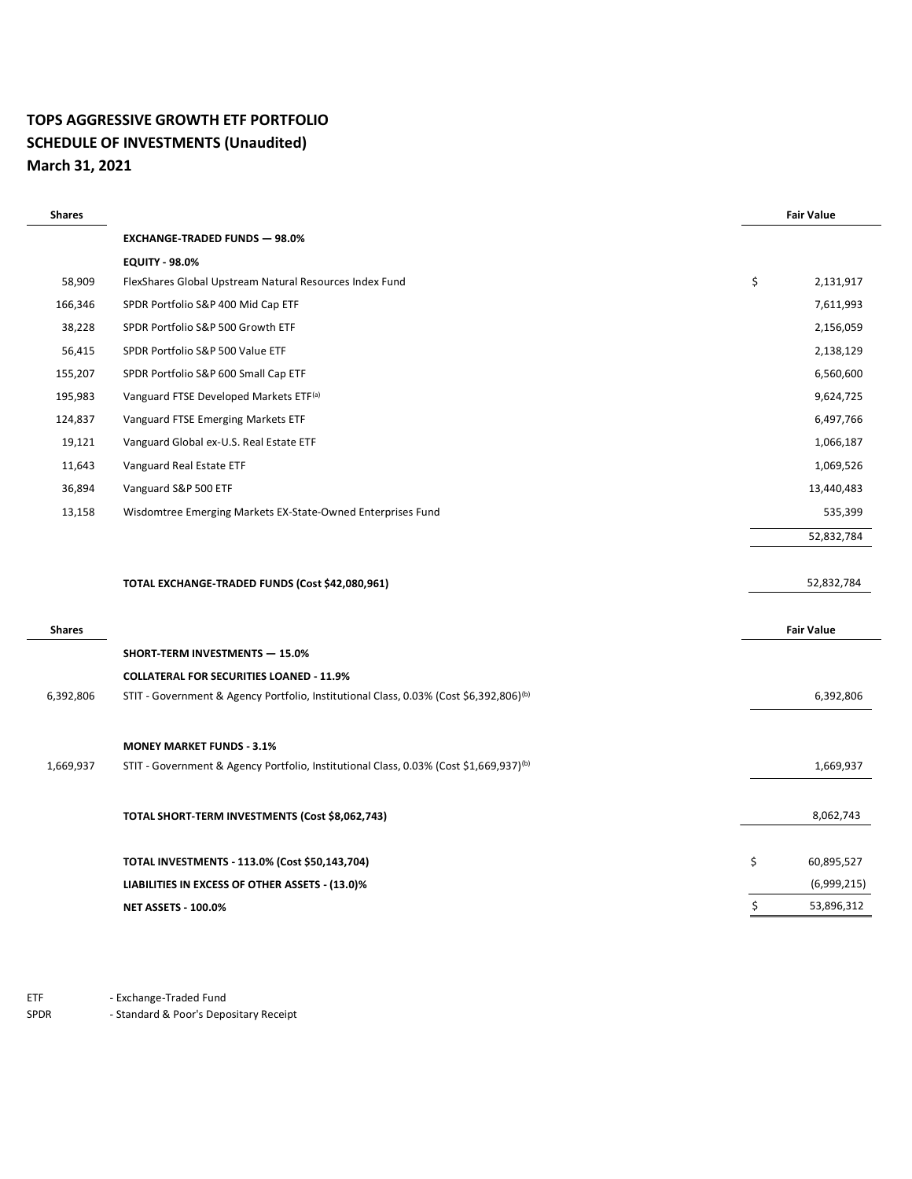#### **TOPS AGGRESSIVE GROWTH ETF PORTFOLIO SCHEDULE OF INVESTMENTS (Unaudited) March 31, 2021**

 $\overline{a}$ 

| <b>Shares</b> |                                                                                                    | <b>Fair Value</b> |
|---------------|----------------------------------------------------------------------------------------------------|-------------------|
|               | <b>EXCHANGE-TRADED FUNDS - 98.0%</b>                                                               |                   |
|               | <b>EQUITY - 98.0%</b>                                                                              |                   |
| 58,909        | FlexShares Global Upstream Natural Resources Index Fund                                            | \$<br>2,131,917   |
| 166,346       | SPDR Portfolio S&P 400 Mid Cap ETF                                                                 | 7,611,993         |
| 38,228        | SPDR Portfolio S&P 500 Growth ETF                                                                  | 2,156,059         |
| 56,415        | SPDR Portfolio S&P 500 Value ETF                                                                   | 2,138,129         |
| 155,207       | SPDR Portfolio S&P 600 Small Cap ETF                                                               | 6,560,600         |
| 195,983       | Vanguard FTSE Developed Markets ETF <sup>(a)</sup>                                                 | 9,624,725         |
| 124,837       | Vanguard FTSE Emerging Markets ETF                                                                 | 6,497,766         |
| 19,121        | Vanguard Global ex-U.S. Real Estate ETF                                                            | 1,066,187         |
| 11,643        | Vanguard Real Estate ETF                                                                           | 1,069,526         |
| 36,894        | Vanguard S&P 500 ETF                                                                               | 13,440,483        |
| 13,158        | Wisdomtree Emerging Markets EX-State-Owned Enterprises Fund                                        | 535,399           |
|               |                                                                                                    | 52,832,784        |
|               |                                                                                                    |                   |
|               | TOTAL EXCHANGE-TRADED FUNDS (Cost \$42,080,961)                                                    | 52,832,784        |
|               |                                                                                                    |                   |
| <b>Shares</b> |                                                                                                    | <b>Fair Value</b> |
|               | SHORT-TERM INVESTMENTS - 15.0%                                                                     |                   |
|               | <b>COLLATERAL FOR SECURITIES LOANED - 11.9%</b>                                                    |                   |
| 6,392,806     | STIT - Government & Agency Portfolio, Institutional Class, 0.03% (Cost \$6,392,806) <sup>(b)</sup> | 6,392,806         |
|               |                                                                                                    |                   |
|               | <b>MONEY MARKET FUNDS - 3.1%</b>                                                                   |                   |
| 1,669,937     | STIT - Government & Agency Portfolio, Institutional Class, 0.03% (Cost \$1,669,937) <sup>(b)</sup> | 1,669,937         |
|               |                                                                                                    |                   |
|               | TOTAL SHORT-TERM INVESTMENTS (Cost \$8,062,743)                                                    | 8,062,743         |
|               |                                                                                                    |                   |
|               | TOTAL INVESTMENTS - 113.0% (Cost \$50,143,704)                                                     | \$<br>60,895,527  |
|               | LIABILITIES IN EXCESS OF OTHER ASSETS - (13.0)%                                                    | (6,999,215)       |
|               | <b>NET ASSETS - 100.0%</b>                                                                         | \$<br>53,896,312  |

ETF - Exchange-Traded Fund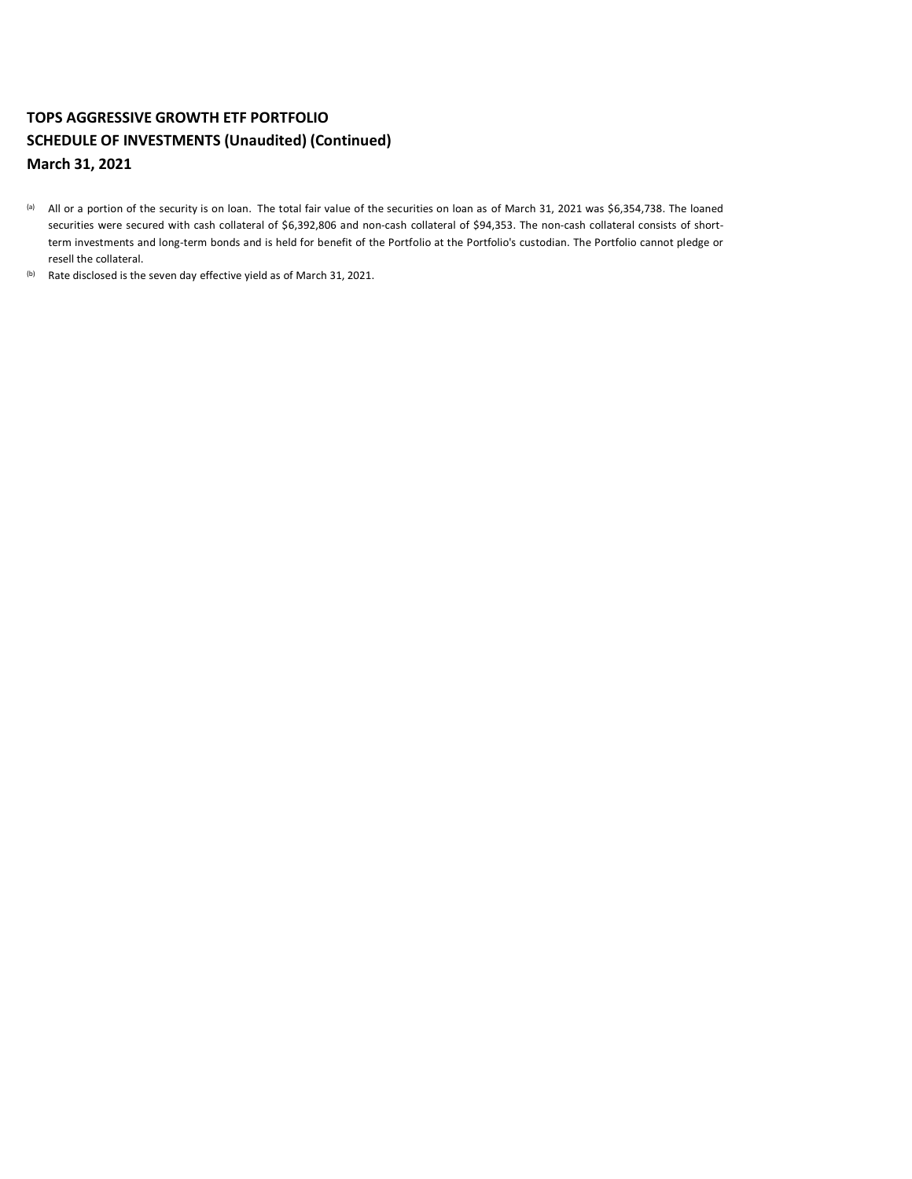# **TOPS AGGRESSIVE GROWTH ETF PORTFOLIO SCHEDULE OF INVESTMENTS (Unaudited) (Continued) March 31, 2021**

- (a) All or a portion of the security is on loan. The total fair value of the securities on loan as of March 31, 2021 was \$6,354,738. The loaned securities were secured with cash collateral of \$6,392,806 and non-cash collateral of \$94,353. The non-cash collateral consists of shortterm investments and long-term bonds and is held for benefit of the Portfolio at the Portfolio's custodian. The Portfolio cannot pledge or resell the collateral.
- (b) Rate disclosed is the seven day effective yield as of March 31, 2021.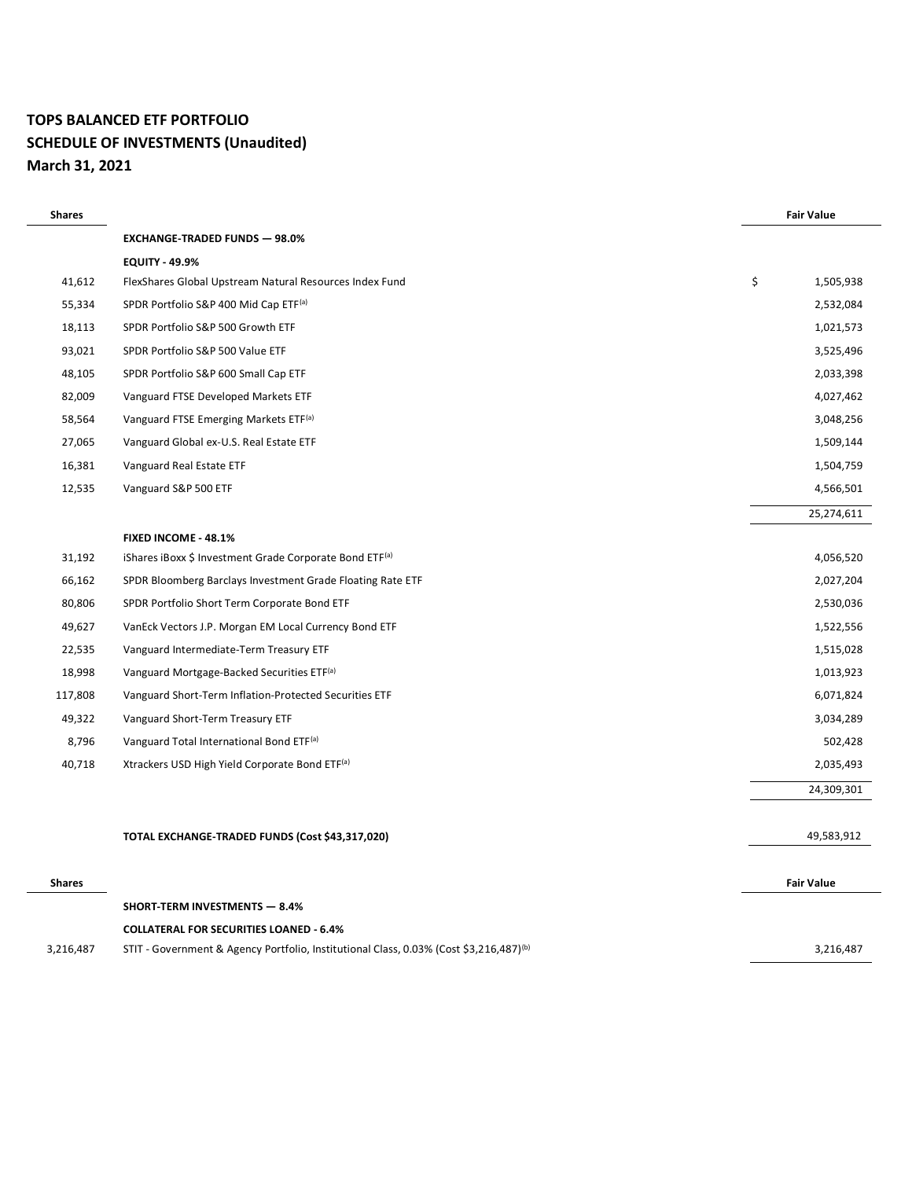# **TOPS BALANCED ETF PORTFOLIO SCHEDULE OF INVESTMENTS (Unaudited) March 31, 2021**

| <b>Shares</b> |                                                                                                    | <b>Fair Value</b> |
|---------------|----------------------------------------------------------------------------------------------------|-------------------|
|               | <b>EXCHANGE-TRADED FUNDS - 98.0%</b>                                                               |                   |
|               | <b>EQUITY - 49.9%</b>                                                                              |                   |
| 41,612        | FlexShares Global Upstream Natural Resources Index Fund                                            | \$<br>1,505,938   |
| 55,334        | SPDR Portfolio S&P 400 Mid Cap ETF(a)                                                              | 2,532,084         |
| 18,113        | SPDR Portfolio S&P 500 Growth ETF                                                                  | 1,021,573         |
| 93,021        | SPDR Portfolio S&P 500 Value ETF                                                                   | 3,525,496         |
| 48,105        | SPDR Portfolio S&P 600 Small Cap ETF                                                               | 2,033,398         |
| 82,009        | Vanguard FTSE Developed Markets ETF                                                                | 4,027,462         |
| 58,564        | Vanguard FTSE Emerging Markets ETF <sup>(a)</sup>                                                  | 3,048,256         |
| 27,065        | Vanguard Global ex-U.S. Real Estate ETF                                                            | 1,509,144         |
| 16,381        | Vanguard Real Estate ETF                                                                           | 1,504,759         |
| 12,535        | Vanguard S&P 500 ETF                                                                               | 4,566,501         |
|               |                                                                                                    | 25,274,611        |
|               | FIXED INCOME - 48.1%                                                                               |                   |
| 31,192        | iShares iBoxx \$ Investment Grade Corporate Bond ETF <sup>(a)</sup>                                | 4,056,520         |
| 66,162        | SPDR Bloomberg Barclays Investment Grade Floating Rate ETF                                         | 2,027,204         |
| 80,806        | SPDR Portfolio Short Term Corporate Bond ETF                                                       | 2,530,036         |
| 49,627        | VanEck Vectors J.P. Morgan EM Local Currency Bond ETF                                              | 1,522,556         |
| 22,535        | Vanguard Intermediate-Term Treasury ETF                                                            | 1,515,028         |
| 18,998        | Vanguard Mortgage-Backed Securities ETF <sup>(a)</sup>                                             | 1,013,923         |
| 117,808       | Vanguard Short-Term Inflation-Protected Securities ETF                                             | 6,071,824         |
| 49,322        | Vanguard Short-Term Treasury ETF                                                                   | 3,034,289         |
| 8,796         | Vanguard Total International Bond ETF <sup>(a)</sup>                                               | 502,428           |
| 40,718        | Xtrackers USD High Yield Corporate Bond ETF(a)                                                     | 2,035,493         |
|               |                                                                                                    | 24,309,301        |
|               |                                                                                                    |                   |
|               | TOTAL EXCHANGE-TRADED FUNDS (Cost \$43,317,020)                                                    | 49,583,912        |
| <b>Shares</b> |                                                                                                    | <b>Fair Value</b> |
|               | <b>SHORT-TERM INVESTMENTS - 8.4%</b>                                                               |                   |
|               | <b>COLLATERAL FOR SECURITIES LOANED - 6.4%</b>                                                     |                   |
| 3,216,487     | STIT - Government & Agency Portfolio, Institutional Class, 0.03% (Cost \$3,216,487) <sup>(b)</sup> | 3,216,487         |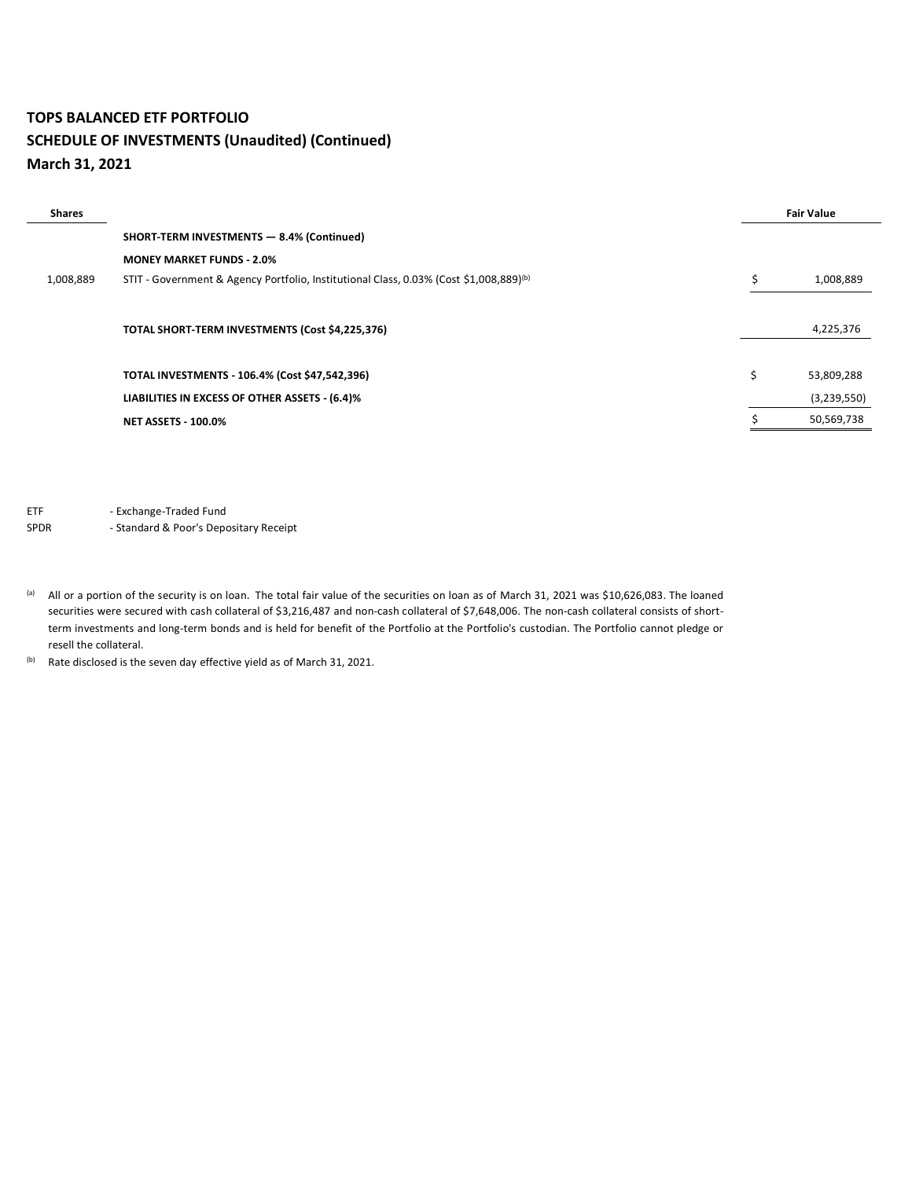#### **TOPS BALANCED ETF PORTFOLIO SCHEDULE OF INVESTMENTS (Unaudited) (Continued) March 31, 2021**

| <b>Shares</b> |                                                                                                    |    | <b>Fair Value</b> |
|---------------|----------------------------------------------------------------------------------------------------|----|-------------------|
|               | SHORT-TERM INVESTMENTS - 8.4% (Continued)                                                          |    |                   |
|               | <b>MONEY MARKET FUNDS - 2.0%</b>                                                                   |    |                   |
| 1,008,889     | STIT - Government & Agency Portfolio, Institutional Class, 0.03% (Cost \$1,008,889) <sup>(b)</sup> | Ś  | 1,008,889         |
|               |                                                                                                    |    |                   |
|               | TOTAL SHORT-TERM INVESTMENTS (Cost \$4,225,376)                                                    |    | 4,225,376         |
|               |                                                                                                    |    |                   |
|               | TOTAL INVESTMENTS - 106.4% (Cost \$47,542,396)                                                     | Ś. | 53,809,288        |
|               | LIABILITIES IN EXCESS OF OTHER ASSETS - (6.4)%                                                     |    | (3,239,550)       |
|               | <b>NET ASSETS - 100.0%</b>                                                                         |    | 50,569,738        |
|               |                                                                                                    |    |                   |

ETF - Exchange-Traded Fund

- (a) All or a portion of the security is on loan. The total fair value of the securities on loan as of March 31, 2021 was \$10,626,083. The loaned securities were secured with cash collateral of \$3,216,487 and non-cash collateral of \$7,648,006. The non-cash collateral consists of shortterm investments and long-term bonds and is held for benefit of the Portfolio at the Portfolio's custodian. The Portfolio cannot pledge or resell the collateral.
- (b) Rate disclosed is the seven day effective yield as of March 31, 2021.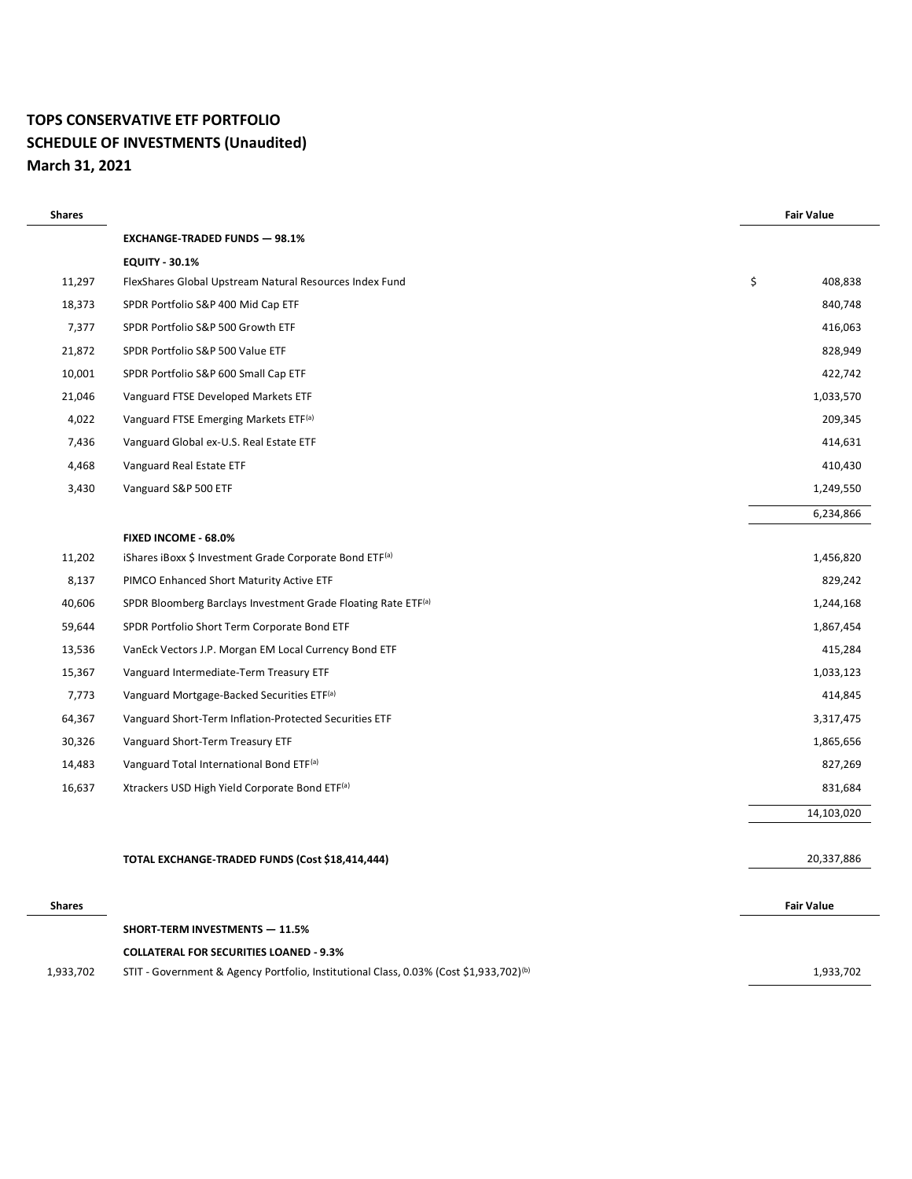# **TOPS CONSERVATIVE ETF PORTFOLIO SCHEDULE OF INVESTMENTS (Unaudited) March 31, 2021**

| <b>Shares</b> |                                                                                                                                                      | <b>Fair Value</b> |
|---------------|------------------------------------------------------------------------------------------------------------------------------------------------------|-------------------|
|               | <b>EXCHANGE-TRADED FUNDS - 98.1%</b>                                                                                                                 |                   |
|               | <b>EQUITY - 30.1%</b>                                                                                                                                |                   |
| 11,297        | FlexShares Global Upstream Natural Resources Index Fund                                                                                              | \$<br>408,838     |
| 18,373        | SPDR Portfolio S&P 400 Mid Cap ETF                                                                                                                   | 840,748           |
| 7,377         | SPDR Portfolio S&P 500 Growth ETF                                                                                                                    | 416,063           |
| 21,872        | SPDR Portfolio S&P 500 Value ETF                                                                                                                     | 828,949           |
| 10,001        | SPDR Portfolio S&P 600 Small Cap ETF                                                                                                                 | 422,742           |
| 21,046        | Vanguard FTSE Developed Markets ETF                                                                                                                  | 1,033,570         |
| 4,022         | Vanguard FTSE Emerging Markets ETF <sup>(a)</sup>                                                                                                    | 209,345           |
| 7,436         | Vanguard Global ex-U.S. Real Estate ETF                                                                                                              | 414,631           |
| 4,468         | Vanguard Real Estate ETF                                                                                                                             | 410,430           |
| 3,430         | Vanguard S&P 500 ETF                                                                                                                                 | 1,249,550         |
|               |                                                                                                                                                      | 6,234,866         |
|               | FIXED INCOME - 68.0%                                                                                                                                 |                   |
| 11,202        | iShares iBoxx \$ Investment Grade Corporate Bond ETF <sup>(a)</sup>                                                                                  | 1,456,820         |
| 8,137         | PIMCO Enhanced Short Maturity Active ETF                                                                                                             | 829,242           |
| 40,606        | SPDR Bloomberg Barclays Investment Grade Floating Rate ETF <sup>(a)</sup>                                                                            | 1,244,168         |
| 59,644        | SPDR Portfolio Short Term Corporate Bond ETF                                                                                                         | 1,867,454         |
| 13,536        | VanEck Vectors J.P. Morgan EM Local Currency Bond ETF                                                                                                | 415,284           |
| 15,367        | Vanguard Intermediate-Term Treasury ETF                                                                                                              | 1,033,123         |
| 7,773         | Vanguard Mortgage-Backed Securities ETF <sup>(a)</sup>                                                                                               | 414,845           |
| 64,367        | Vanguard Short-Term Inflation-Protected Securities ETF                                                                                               | 3,317,475         |
| 30,326        | Vanguard Short-Term Treasury ETF                                                                                                                     | 1,865,656         |
| 14,483        | Vanguard Total International Bond ETF(a)                                                                                                             | 827,269           |
| 16,637        | Xtrackers USD High Yield Corporate Bond ETF(a)                                                                                                       | 831,684           |
|               |                                                                                                                                                      | 14,103,020        |
|               |                                                                                                                                                      |                   |
|               | TOTAL EXCHANGE-TRADED FUNDS (Cost \$18,414,444)                                                                                                      | 20,337,886        |
|               |                                                                                                                                                      |                   |
| <b>Shares</b> |                                                                                                                                                      | <b>Fair Value</b> |
|               | <b>SHORT-TERM INVESTMENTS - 11.5%</b>                                                                                                                |                   |
| 1,933,702     | <b>COLLATERAL FOR SECURITIES LOANED - 9.3%</b><br>STIT - Government & Agency Portfolio, Institutional Class, 0.03% (Cost \$1,933,702) <sup>(b)</sup> | 1,933,702         |
|               |                                                                                                                                                      |                   |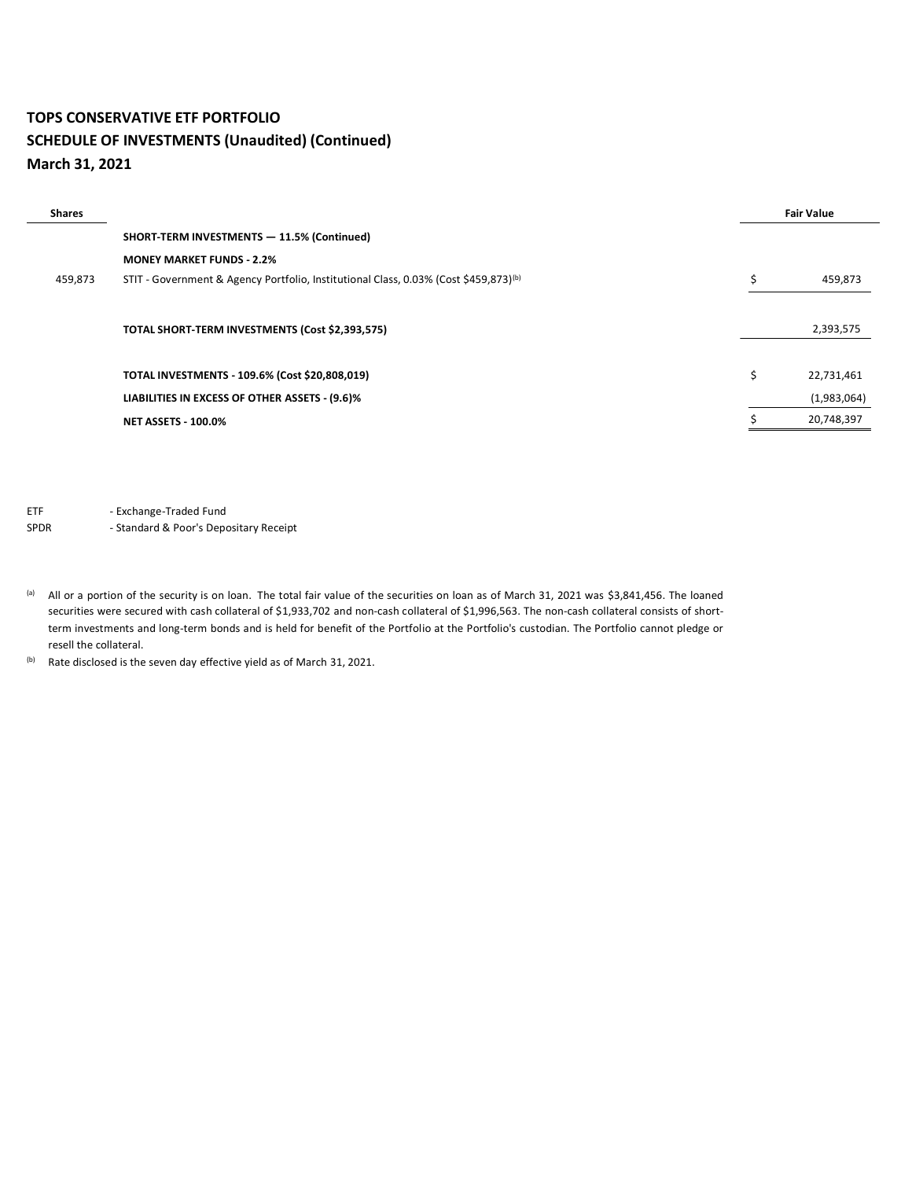#### **TOPS CONSERVATIVE ETF PORTFOLIO SCHEDULE OF INVESTMENTS (Unaudited) (Continued) March 31, 2021**

| <b>Shares</b> |                                                                                                  |    | <b>Fair Value</b> |
|---------------|--------------------------------------------------------------------------------------------------|----|-------------------|
|               | SHORT-TERM INVESTMENTS - 11.5% (Continued)                                                       |    |                   |
|               | <b>MONEY MARKET FUNDS - 2.2%</b>                                                                 |    |                   |
| 459,873       | STIT - Government & Agency Portfolio, Institutional Class, 0.03% (Cost \$459,873) <sup>(b)</sup> | Ś. | 459,873           |
|               |                                                                                                  |    |                   |
|               | TOTAL SHORT-TERM INVESTMENTS (Cost \$2,393,575)                                                  |    | 2,393,575         |
|               |                                                                                                  |    |                   |
|               | TOTAL INVESTMENTS - 109.6% (Cost \$20,808,019)                                                   | Ś. | 22,731,461        |
|               | LIABILITIES IN EXCESS OF OTHER ASSETS - (9.6)%                                                   |    | (1,983,064)       |
|               | <b>NET ASSETS - 100.0%</b>                                                                       |    | 20,748,397        |
|               |                                                                                                  |    |                   |

ETF - Exchange-Traded Fund

SPDR - Standard & Poor's Depositary Receipt

(a) All or a portion of the security is on loan. The total fair value of the securities on loan as of March 31, 2021 was \$3,841,456. The loaned securities were secured with cash collateral of \$1,933,702 and non-cash collateral of \$1,996,563. The non-cash collateral consists of shortterm investments and long-term bonds and is held for benefit of the Portfolio at the Portfolio's custodian. The Portfolio cannot pledge or resell the collateral.

(b) Rate disclosed is the seven day effective yield as of March 31, 2021.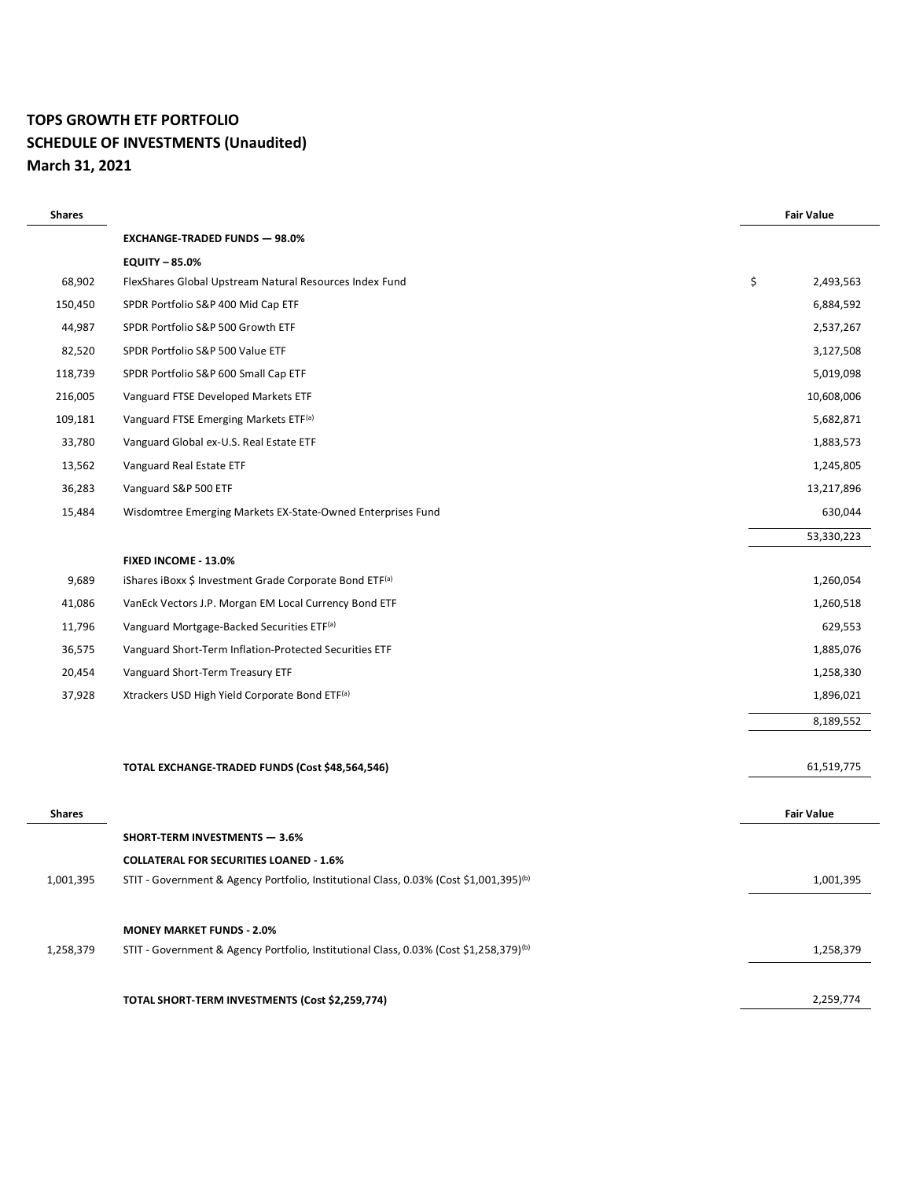# **TOPS GROWTH ETF PORTFOLIO SCHEDULE OF INVESTMENTS (Unaudited) March 31, 2021**

| <b>Shares</b> |                                                                                                    | <b>Fair Value</b> |
|---------------|----------------------------------------------------------------------------------------------------|-------------------|
|               | <b>EXCHANGE-TRADED FUNDS - 98.0%</b>                                                               |                   |
|               | <b>EQUITY - 85.0%</b>                                                                              |                   |
| 68,902        | FlexShares Global Upstream Natural Resources Index Fund                                            | \$<br>2,493,563   |
| 150,450       | SPDR Portfolio S&P 400 Mid Cap ETF                                                                 | 6,884,592         |
| 44,987        | SPDR Portfolio S&P 500 Growth ETF                                                                  | 2,537,267         |
| 82,520        | SPDR Portfolio S&P 500 Value ETF                                                                   | 3,127,508         |
| 118,739       | SPDR Portfolio S&P 600 Small Cap ETF                                                               | 5,019,098         |
| 216,005       | Vanguard FTSE Developed Markets ETF                                                                | 10,608,006        |
| 109,181       | Vanguard FTSE Emerging Markets ETF <sup>(a)</sup>                                                  | 5,682,871         |
| 33,780        | Vanguard Global ex-U.S. Real Estate ETF                                                            | 1,883,573         |
| 13,562        | Vanguard Real Estate ETF                                                                           | 1,245,805         |
| 36,283        | Vanguard S&P 500 ETF                                                                               | 13,217,896        |
| 15,484        | Wisdomtree Emerging Markets EX-State-Owned Enterprises Fund                                        | 630,044           |
|               |                                                                                                    | 53,330,223        |
|               | FIXED INCOME - 13.0%                                                                               |                   |
| 9,689         | iShares iBoxx \$ Investment Grade Corporate Bond ETF(a)                                            | 1,260,054         |
| 41,086        | VanEck Vectors J.P. Morgan EM Local Currency Bond ETF                                              | 1,260,518         |
| 11,796        | Vanguard Mortgage-Backed Securities ETF(a)                                                         | 629,553           |
| 36,575        | Vanguard Short-Term Inflation-Protected Securities ETF                                             | 1,885,076         |
| 20,454        | Vanguard Short-Term Treasury ETF                                                                   | 1,258,330         |
| 37,928        | Xtrackers USD High Yield Corporate Bond ETF <sup>(a)</sup>                                         | 1,896,021         |
|               |                                                                                                    | 8,189,552         |
|               |                                                                                                    |                   |
|               | TOTAL EXCHANGE-TRADED FUNDS (Cost \$48,564,546)                                                    | 61,519,775        |
| <b>Shares</b> |                                                                                                    | <b>Fair Value</b> |
|               | <b>SHORT-TERM INVESTMENTS - 3.6%</b>                                                               |                   |
|               | <b>COLLATERAL FOR SECURITIES LOANED - 1.6%</b>                                                     |                   |
| 1,001,395     | STIT - Government & Agency Portfolio, Institutional Class, 0.03% (Cost \$1,001,395) <sup>(b)</sup> | 1,001,395         |
|               |                                                                                                    |                   |
|               | <b>MONEY MARKET FUNDS - 2.0%</b>                                                                   |                   |
| 1,258,379     | STIT - Government & Agency Portfolio, Institutional Class, 0.03% (Cost \$1,258,379) <sup>(b)</sup> | 1,258,379         |
|               |                                                                                                    |                   |
|               | TOTAL SHORT-TERM INVESTMENTS (Cost \$2,259,774)                                                    | 2,259,774         |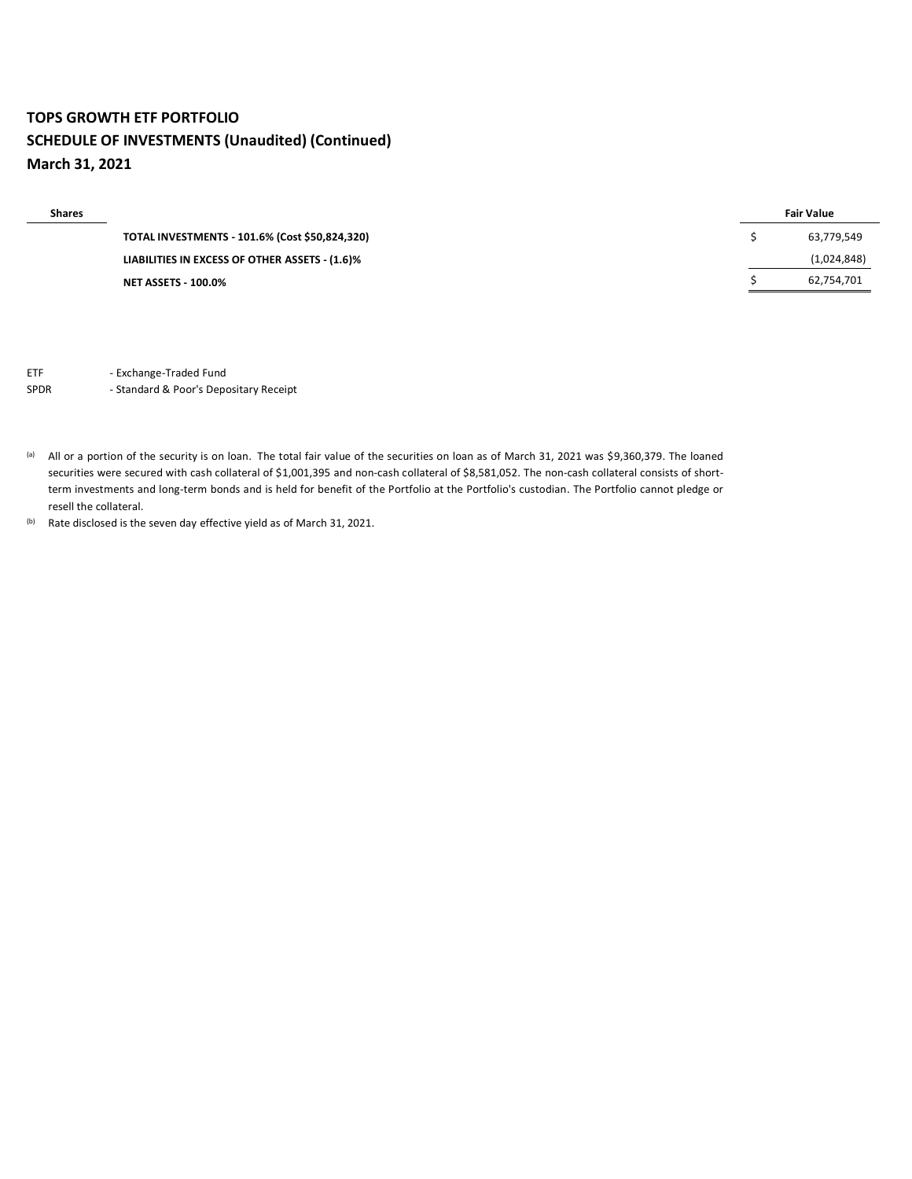# **TOPS GROWTH ETF PORTFOLIO SCHEDULE OF INVESTMENTS (Unaudited) (Continued) March 31, 2021**

| <b>Shares</b> |                                                | <b>Fair Value</b> |
|---------------|------------------------------------------------|-------------------|
|               | TOTAL INVESTMENTS - 101.6% (Cost \$50,824,320) | 63,779,549        |
|               | LIABILITIES IN EXCESS OF OTHER ASSETS - (1.6)% | (1,024,848)       |
|               | <b>NET ASSETS - 100.0%</b>                     | 62,754,701        |

ETF - Exchange-Traded Fund

#### SPDR - Standard & Poor's Depositary Receipt

(a) All or a portion of the security is on loan. The total fair value of the securities on loan as of March 31, 2021 was \$9,360,379. The loaned securities were secured with cash collateral of \$1,001,395 and non-cash collateral of \$8,581,052. The non-cash collateral consists of shortterm investments and long-term bonds and is held for benefit of the Portfolio at the Portfolio's custodian. The Portfolio cannot pledge or resell the collateral.

(b) Rate disclosed is the seven day effective yield as of March 31, 2021.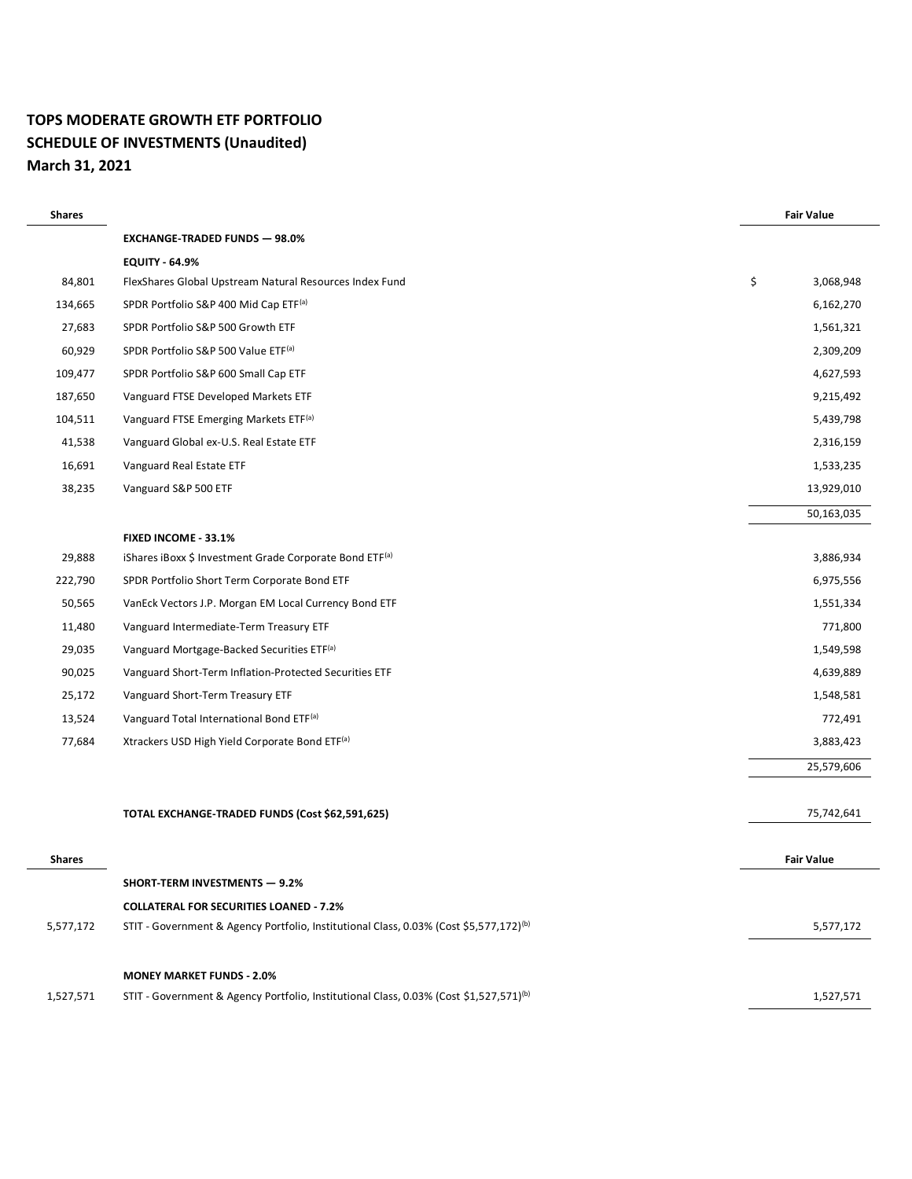## **TOPS MODERATE GROWTH ETF PORTFOLIO SCHEDULE OF INVESTMENTS (Unaudited) March 31, 2021**

| <b>Shares</b> |                                                                                                    | <b>Fair Value</b> |            |
|---------------|----------------------------------------------------------------------------------------------------|-------------------|------------|
|               | <b>EXCHANGE-TRADED FUNDS - 98.0%</b>                                                               |                   |            |
|               | <b>EQUITY - 64.9%</b>                                                                              |                   |            |
| 84,801        | FlexShares Global Upstream Natural Resources Index Fund                                            | \$                | 3,068,948  |
| 134,665       | SPDR Portfolio S&P 400 Mid Cap ETF(a)                                                              |                   | 6,162,270  |
| 27,683        | SPDR Portfolio S&P 500 Growth ETF                                                                  |                   | 1,561,321  |
| 60,929        | SPDR Portfolio S&P 500 Value ETF <sup>(a)</sup>                                                    |                   | 2,309,209  |
| 109,477       | SPDR Portfolio S&P 600 Small Cap ETF                                                               |                   | 4,627,593  |
| 187,650       | Vanguard FTSE Developed Markets ETF                                                                |                   | 9,215,492  |
| 104,511       | Vanguard FTSE Emerging Markets ETF <sup>(a)</sup>                                                  |                   | 5,439,798  |
| 41,538        | Vanguard Global ex-U.S. Real Estate ETF                                                            |                   | 2,316,159  |
| 16,691        | Vanguard Real Estate ETF                                                                           |                   | 1,533,235  |
| 38,235        | Vanguard S&P 500 ETF                                                                               |                   | 13,929,010 |
|               |                                                                                                    |                   | 50,163,035 |
|               | FIXED INCOME - 33.1%                                                                               |                   |            |
| 29,888        | iShares iBoxx \$ Investment Grade Corporate Bond ETF(a)                                            |                   | 3,886,934  |
| 222,790       | SPDR Portfolio Short Term Corporate Bond ETF                                                       |                   | 6,975,556  |
| 50,565        | VanEck Vectors J.P. Morgan EM Local Currency Bond ETF                                              |                   | 1,551,334  |
| 11,480        | Vanguard Intermediate-Term Treasury ETF                                                            |                   | 771,800    |
| 29,035        | Vanguard Mortgage-Backed Securities ETF <sup>(a)</sup>                                             |                   | 1,549,598  |
| 90,025        | Vanguard Short-Term Inflation-Protected Securities ETF                                             |                   | 4,639,889  |
| 25,172        | Vanguard Short-Term Treasury ETF                                                                   |                   | 1,548,581  |
| 13,524        | Vanguard Total International Bond ETF <sup>(a)</sup>                                               |                   | 772,491    |
| 77,684        | Xtrackers USD High Yield Corporate Bond ETF(a)                                                     |                   | 3,883,423  |
|               |                                                                                                    |                   | 25,579,606 |
|               |                                                                                                    |                   |            |
|               | TOTAL EXCHANGE-TRADED FUNDS (Cost \$62,591,625)                                                    |                   | 75,742,641 |
|               |                                                                                                    |                   |            |
| <b>Shares</b> |                                                                                                    | <b>Fair Value</b> |            |
|               | <b>SHORT-TERM INVESTMENTS - 9.2%</b>                                                               |                   |            |
|               | <b>COLLATERAL FOR SECURITIES LOANED - 7.2%</b>                                                     |                   |            |
| 5,577,172     | STIT - Government & Agency Portfolio, Institutional Class, 0.03% (Cost \$5,577,172) <sup>(b)</sup> |                   | 5,577,172  |
|               | <b>MONEY MARKET FUNDS - 2.0%</b>                                                                   |                   |            |
| 1,527,571     | STIT - Government & Agency Portfolio, Institutional Class, 0.03% (Cost \$1,527,571) <sup>(b)</sup> |                   | 1,527,571  |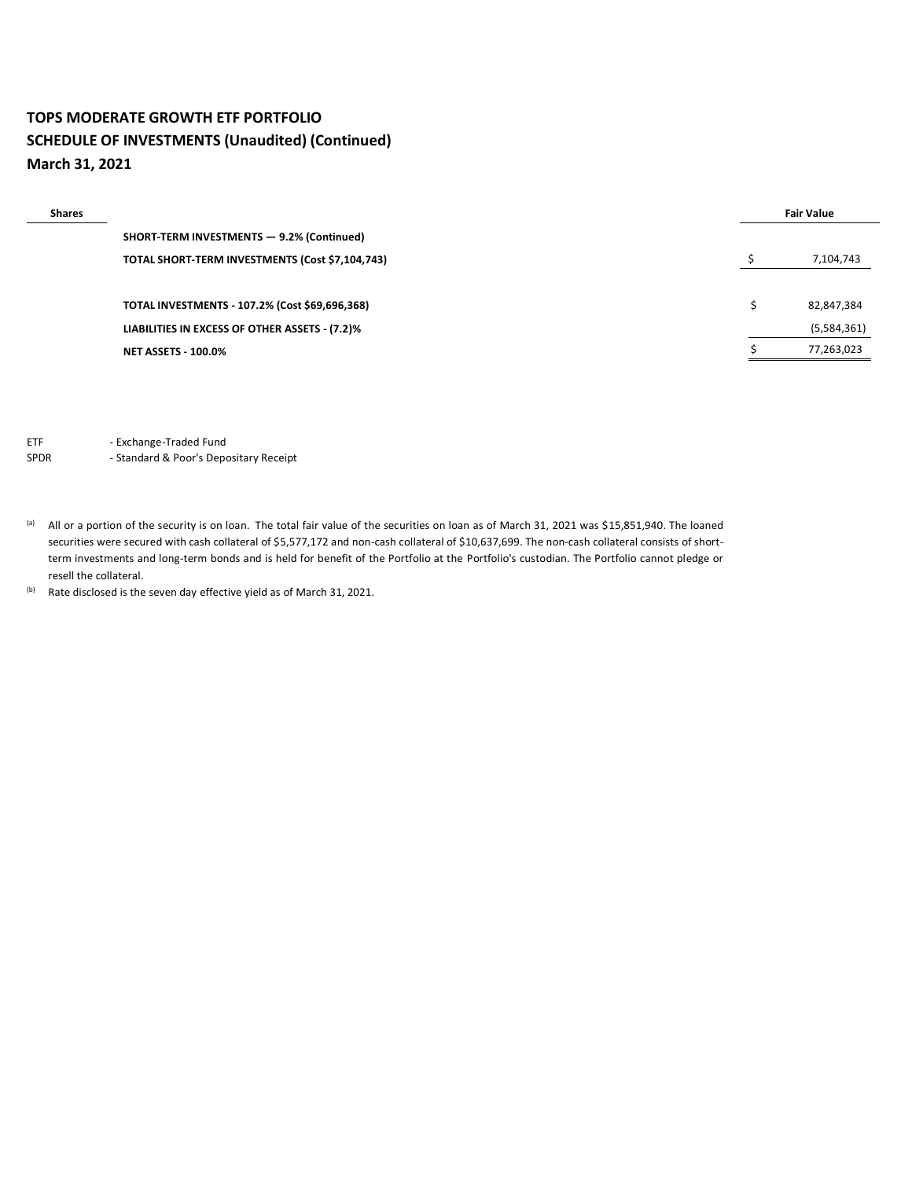# **TOPS MODERATE GROWTH ETF PORTFOLIO SCHEDULE OF INVESTMENTS (Unaudited) (Continued) March 31, 2021**

| <b>Shares</b> |                                                 | <b>Fair Value</b> |  |
|---------------|-------------------------------------------------|-------------------|--|
|               | SHORT-TERM INVESTMENTS - 9.2% (Continued)       |                   |  |
|               | TOTAL SHORT-TERM INVESTMENTS (Cost \$7,104,743) | 7,104,743         |  |
|               |                                                 |                   |  |
|               | TOTAL INVESTMENTS - 107.2% (Cost \$69,696,368)  | 82,847,384        |  |
|               | LIABILITIES IN EXCESS OF OTHER ASSETS - (7.2)%  | (5,584,361)       |  |
|               | <b>NET ASSETS - 100.0%</b>                      | 77,263,023        |  |

ETF - Exchange-Traded Fund

SPDR - Standard & Poor's Depositary Receipt

(a) All or a portion of the security is on loan. The total fair value of the securities on loan as of March 31, 2021 was \$15,851,940. The loaned securities were secured with cash collateral of \$5,577,172 and non-cash collateral of \$10,637,699. The non-cash collateral consists of shortterm investments and long-term bonds and is held for benefit of the Portfolio at the Portfolio's custodian. The Portfolio cannot pledge or resell the collateral.

(b) Rate disclosed is the seven day effective yield as of March 31, 2021.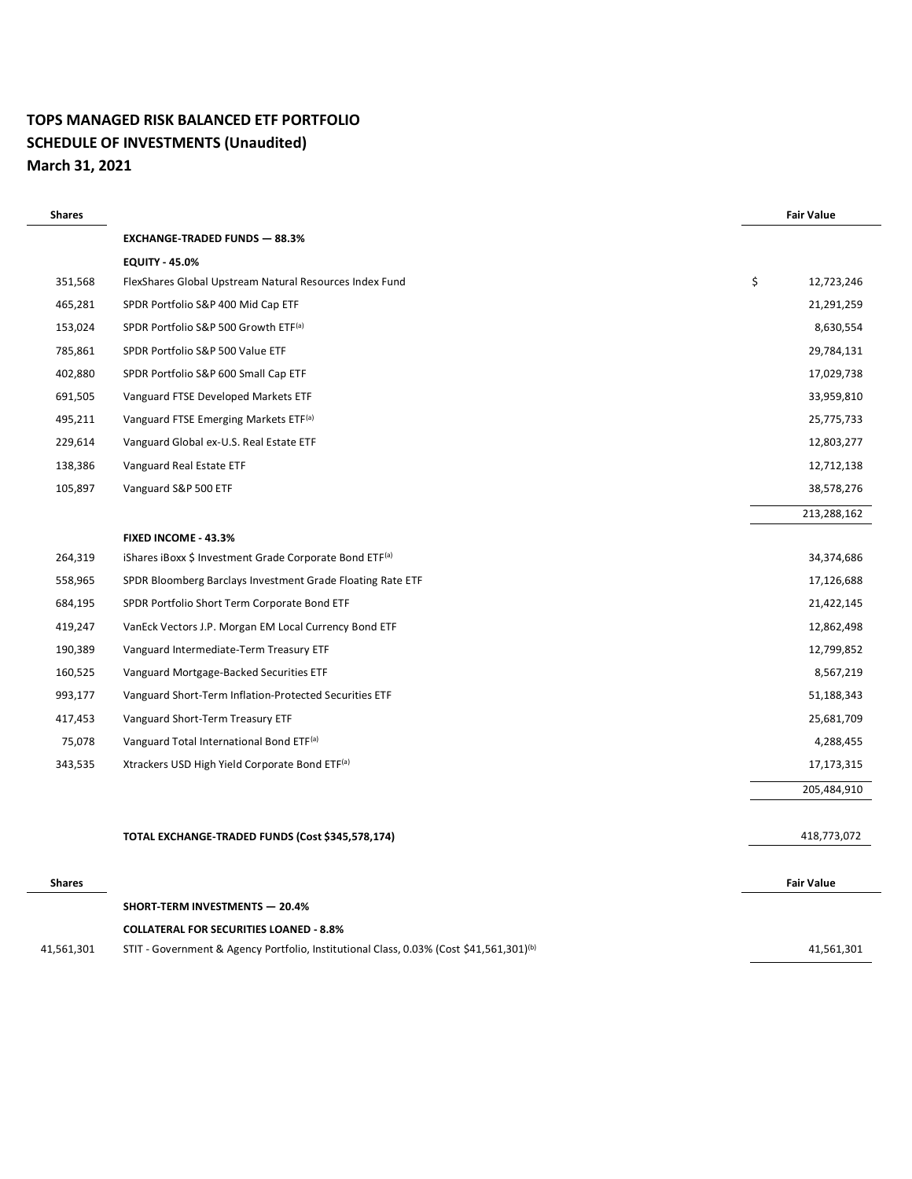### **TOPS MANAGED RISK BALANCED ETF PORTFOLIO SCHEDULE OF INVESTMENTS (Unaudited) March 31, 2021**

| <b>Shares</b> |                                                                                                     | <b>Fair Value</b> |
|---------------|-----------------------------------------------------------------------------------------------------|-------------------|
|               | <b>EXCHANGE-TRADED FUNDS - 88.3%</b>                                                                |                   |
|               | <b>EQUITY - 45.0%</b>                                                                               |                   |
| 351,568       | FlexShares Global Upstream Natural Resources Index Fund                                             | \$<br>12,723,246  |
| 465,281       | SPDR Portfolio S&P 400 Mid Cap ETF                                                                  | 21,291,259        |
| 153,024       | SPDR Portfolio S&P 500 Growth ETF <sup>(a)</sup>                                                    | 8,630,554         |
| 785,861       | SPDR Portfolio S&P 500 Value ETF                                                                    | 29,784,131        |
| 402,880       | SPDR Portfolio S&P 600 Small Cap ETF                                                                | 17,029,738        |
| 691,505       | Vanguard FTSE Developed Markets ETF                                                                 | 33,959,810        |
| 495,211       | Vanguard FTSE Emerging Markets ETF <sup>(a)</sup>                                                   | 25,775,733        |
| 229,614       | Vanguard Global ex-U.S. Real Estate ETF                                                             | 12,803,277        |
| 138,386       | Vanguard Real Estate ETF                                                                            | 12,712,138        |
| 105,897       | Vanguard S&P 500 ETF                                                                                | 38,578,276        |
|               |                                                                                                     | 213,288,162       |
|               | FIXED INCOME - 43.3%                                                                                |                   |
| 264,319       | iShares iBoxx \$ Investment Grade Corporate Bond ETF <sup>(a)</sup>                                 | 34,374,686        |
| 558,965       | SPDR Bloomberg Barclays Investment Grade Floating Rate ETF                                          | 17,126,688        |
| 684,195       | SPDR Portfolio Short Term Corporate Bond ETF                                                        | 21,422,145        |
| 419,247       | VanEck Vectors J.P. Morgan EM Local Currency Bond ETF                                               | 12,862,498        |
| 190,389       | Vanguard Intermediate-Term Treasury ETF                                                             | 12,799,852        |
| 160,525       | Vanguard Mortgage-Backed Securities ETF                                                             | 8,567,219         |
| 993,177       | Vanguard Short-Term Inflation-Protected Securities ETF                                              | 51,188,343        |
| 417,453       | Vanguard Short-Term Treasury ETF                                                                    | 25,681,709        |
| 75,078        | Vanguard Total International Bond ETF <sup>(a)</sup>                                                | 4,288,455         |
| 343,535       | Xtrackers USD High Yield Corporate Bond ETF(a)                                                      | 17,173,315        |
|               |                                                                                                     | 205,484,910       |
|               |                                                                                                     |                   |
|               | TOTAL EXCHANGE-TRADED FUNDS (Cost \$345,578,174)                                                    | 418,773,072       |
| <b>Shares</b> |                                                                                                     | <b>Fair Value</b> |
|               | SHORT-TERM INVESTMENTS - 20.4%                                                                      |                   |
|               | <b>COLLATERAL FOR SECURITIES LOANED - 8.8%</b>                                                      |                   |
| 41,561,301    | STIT - Government & Agency Portfolio, Institutional Class, 0.03% (Cost \$41,561,301) <sup>(b)</sup> | 41,561,301        |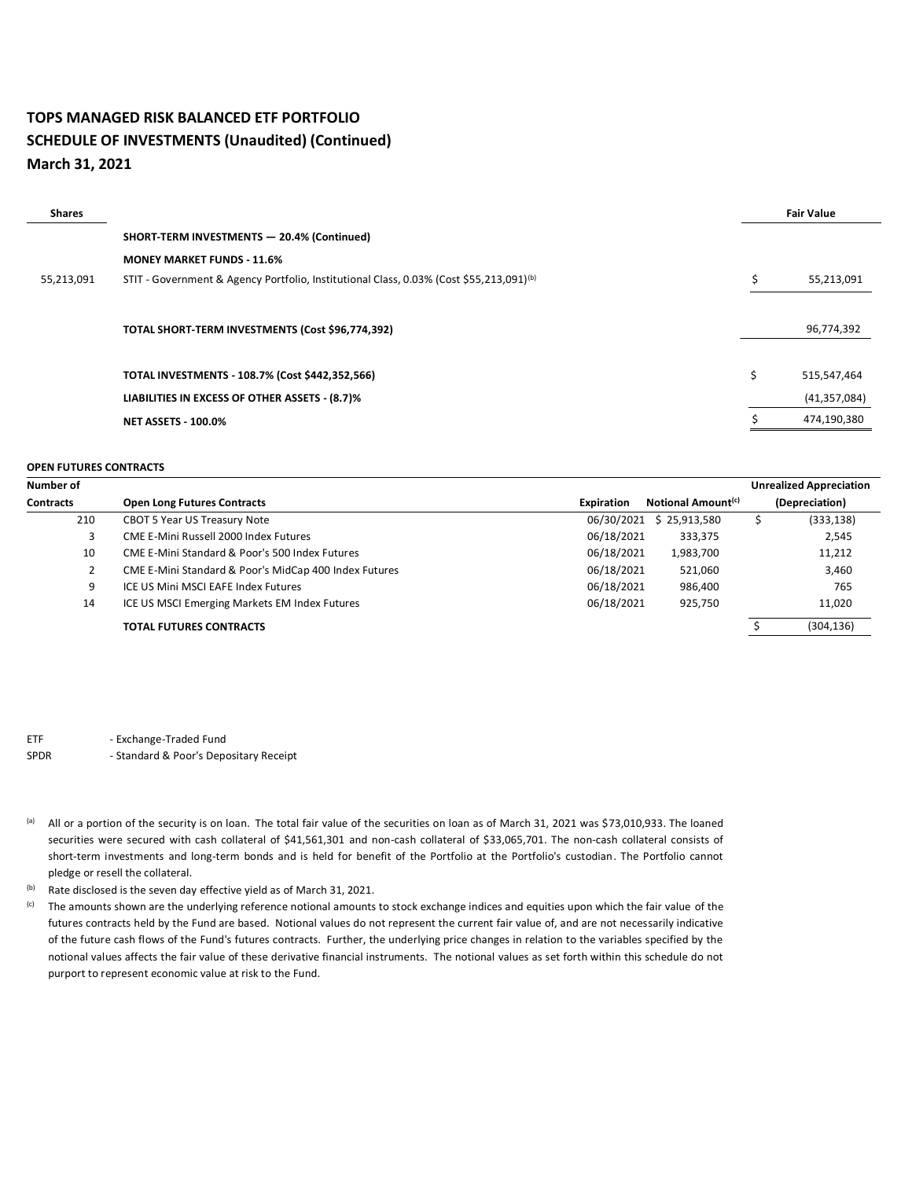### **TOPS MANAGED RISK BALANCED ETF PORTFOLIO SCHEDULE OF INVESTMENTS (Unaudited) (Continued) March 31, 2021**

| <b>Shares</b> |                                                                                                     |    | <b>Fair Value</b> |
|---------------|-----------------------------------------------------------------------------------------------------|----|-------------------|
|               | SHORT-TERM INVESTMENTS - 20.4% (Continued)                                                          |    |                   |
|               | <b>MONEY MARKET FUNDS - 11.6%</b>                                                                   |    |                   |
| 55,213,091    | STIT - Government & Agency Portfolio, Institutional Class, 0.03% (Cost \$55,213,091) <sup>(b)</sup> |    | 55,213,091        |
|               |                                                                                                     |    |                   |
|               | TOTAL SHORT-TERM INVESTMENTS (Cost \$96,774,392)                                                    |    | 96,774,392        |
|               |                                                                                                     |    |                   |
|               | TOTAL INVESTMENTS - 108.7% (Cost \$442,352,566)                                                     | Ś. | 515,547,464       |
|               | LIABILITIES IN EXCESS OF OTHER ASSETS - (8.7)%                                                      |    | (41, 357, 084)    |
|               | <b>NET ASSETS - 100.0%</b>                                                                          |    | 474,190,380       |

#### **OPEN FUTURES CONTRACTS**

| Number of        |                                                           |                   |                                | <b>Unrealized Appreciation</b> |
|------------------|-----------------------------------------------------------|-------------------|--------------------------------|--------------------------------|
| <b>Contracts</b> | <b>Open Long Futures Contracts</b>                        | <b>Expiration</b> | Notional Amount <sup>(c)</sup> | (Depreciation)                 |
| 210              | <b>CBOT 5 Year US Treasury Note</b>                       | 06/30/2021        | \$25,913,580                   | (333, 138)                     |
| 3                | CME E-Mini Russell 2000 Index Futures                     | 06/18/2021        | 333,375                        | 2,545                          |
| 10               | <b>CME E-Mini Standard &amp; Poor's 500 Index Futures</b> | 06/18/2021        | 1,983,700                      | 11,212                         |
|                  | CME E-Mini Standard & Poor's MidCap 400 Index Futures     | 06/18/2021        | 521,060                        | 3,460                          |
| 9                | ICE US Mini MSCI EAFE Index Futures                       | 06/18/2021        | 986,400                        | 765                            |
| 14               | ICE US MSCI Emerging Markets EM Index Futures             | 06/18/2021        | 925,750                        | 11,020                         |
|                  | <b>TOTAL FUTURES CONTRACTS</b>                            |                   |                                | (304, 136)                     |

ETF - Exchange-Traded Fund

- (a) All or a portion of the security is on loan. The total fair value of the securities on loan as of March 31, 2021 was \$73,010,933. The loaned securities were secured with cash collateral of \$41,561,301 and non-cash collateral of \$33,065,701. The non-cash collateral consists of short-term investments and long-term bonds and is held for benefit of the Portfolio at the Portfolio's custodian. The Portfolio cannot pledge or resell the collateral.
- (b) Rate disclosed is the seven day effective yield as of March 31, 2021.
- (c) The amounts shown are the underlying reference notional amounts to stock exchange indices and equities upon which the fair value of the futures contracts held by the Fund are based. Notional values do not represent the current fair value of, and are not necessarily indicative of the future cash flows of the Fund's futures contracts. Further, the underlying price changes in relation to the variables specified by the notional values affects the fair value of these derivative financial instruments. The notional values as set forth within this schedule do not purport to represent economic value at risk to the Fund.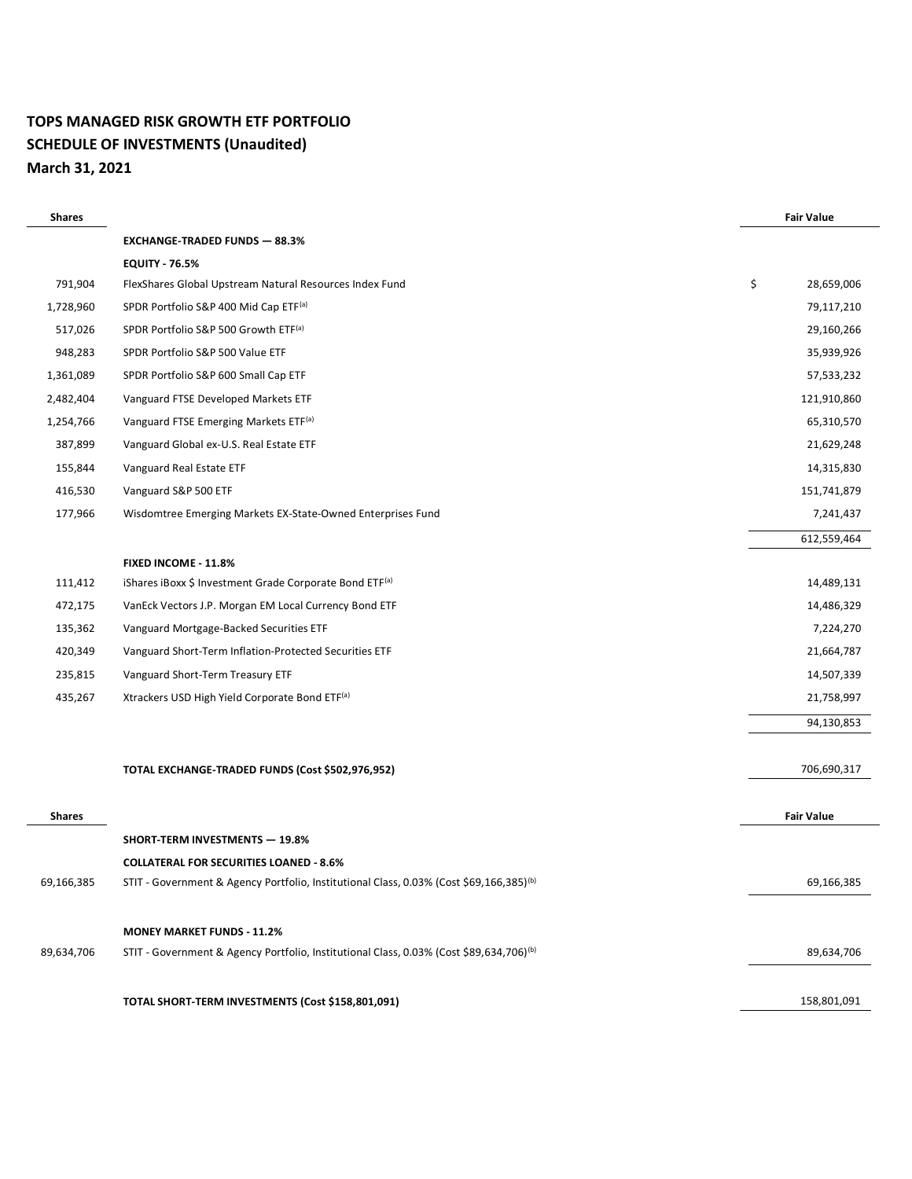# **TOPS MANAGED RISK GROWTH ETF PORTFOLIO SCHEDULE OF INVESTMENTS (Unaudited) March 31, 2021**

| <b>Shares</b> |                                                                                                     | <b>Fair Value</b> |
|---------------|-----------------------------------------------------------------------------------------------------|-------------------|
|               | <b>EXCHANGE-TRADED FUNDS - 88.3%</b>                                                                |                   |
|               | <b>EQUITY - 76.5%</b>                                                                               |                   |
| 791,904       | FlexShares Global Upstream Natural Resources Index Fund                                             | \$<br>28,659,006  |
| 1,728,960     | SPDR Portfolio S&P 400 Mid Cap ETF(a)                                                               | 79,117,210        |
| 517,026       | SPDR Portfolio S&P 500 Growth ETF <sup>(a)</sup>                                                    | 29,160,266        |
| 948,283       | SPDR Portfolio S&P 500 Value ETF                                                                    | 35,939,926        |
| 1,361,089     | SPDR Portfolio S&P 600 Small Cap ETF                                                                | 57,533,232        |
| 2,482,404     | Vanguard FTSE Developed Markets ETF                                                                 | 121,910,860       |
| 1,254,766     | Vanguard FTSE Emerging Markets ETF <sup>(a)</sup>                                                   | 65,310,570        |
| 387,899       | Vanguard Global ex-U.S. Real Estate ETF                                                             | 21,629,248        |
| 155,844       | Vanguard Real Estate ETF                                                                            | 14,315,830        |
| 416,530       | Vanguard S&P 500 ETF                                                                                | 151,741,879       |
| 177,966       | Wisdomtree Emerging Markets EX-State-Owned Enterprises Fund                                         | 7,241,437         |
|               |                                                                                                     | 612,559,464       |
|               | FIXED INCOME - 11.8%                                                                                |                   |
| 111,412       | iShares iBoxx \$ Investment Grade Corporate Bond ETF(a)                                             | 14,489,131        |
| 472,175       | VanEck Vectors J.P. Morgan EM Local Currency Bond ETF                                               | 14,486,329        |
| 135,362       | Vanguard Mortgage-Backed Securities ETF                                                             | 7,224,270         |
| 420,349       | Vanguard Short-Term Inflation-Protected Securities ETF                                              | 21,664,787        |
| 235,815       | Vanguard Short-Term Treasury ETF                                                                    | 14,507,339        |
| 435,267       | Xtrackers USD High Yield Corporate Bond ETF <sup>(a)</sup>                                          | 21,758,997        |
|               |                                                                                                     | 94,130,853        |
|               | TOTAL EXCHANGE-TRADED FUNDS (Cost \$502,976,952)                                                    | 706,690,317       |
|               |                                                                                                     |                   |
| <b>Shares</b> |                                                                                                     | <b>Fair Value</b> |
|               | <b>SHORT-TERM INVESTMENTS - 19.8%</b>                                                               |                   |
|               | <b>COLLATERAL FOR SECURITIES LOANED - 8.6%</b>                                                      |                   |
| 69,166,385    | STIT - Government & Agency Portfolio, Institutional Class, 0.03% (Cost \$69,166,385) <sup>(b)</sup> | 69,166,385        |
|               | <b>MONEY MARKET FUNDS - 11.2%</b>                                                                   |                   |
| 89,634,706    | STIT - Government & Agency Portfolio, Institutional Class, 0.03% (Cost \$89,634,706) <sup>(b)</sup> | 89,634,706        |
|               |                                                                                                     |                   |
|               | TOTAL SHORT-TERM INVESTMENTS (Cost \$158,801,091)                                                   | 158,801,091       |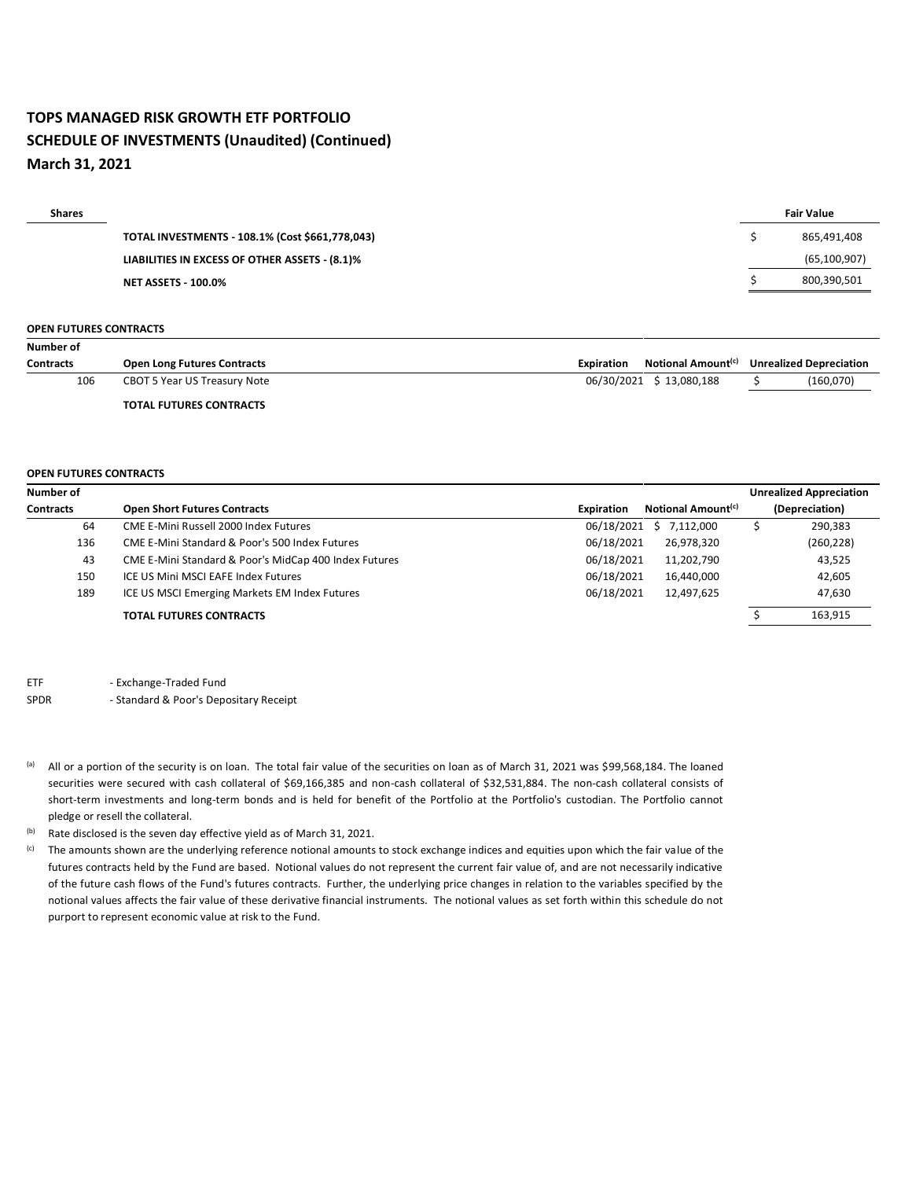### **TOPS MANAGED RISK GROWTH ETF PORTFOLIO SCHEDULE OF INVESTMENTS (Unaudited) (Continued) March 31, 2021**

| <b>Fair Value</b> |
|-------------------|
| 865,491,408       |
| (65, 100, 907)    |
| 800,390,501       |
|                   |

#### **OPEN FUTURES CONTRACTS**

| Number of        |                                    |                   |                                |                                |
|------------------|------------------------------------|-------------------|--------------------------------|--------------------------------|
| <b>Contracts</b> | <b>Open Long Futures Contracts</b> | <b>Expiration</b> | Notional Amount <sup>(c)</sup> | <b>Unrealized Depreciation</b> |
| 106              | CBOT 5 Year US Treasury Note       |                   | 06/30/2021 \$13,080,188        | (160,070)                      |
|                  | <b>TOTAL FUTURES CONTRACTS</b>     |                   |                                |                                |

#### **OPEN FUTURES CONTRACTS**

| Number of        |                                                       |                   |                                | <b>Unrealized Appreciation</b> |
|------------------|-------------------------------------------------------|-------------------|--------------------------------|--------------------------------|
| <b>Contracts</b> | <b>Open Short Futures Contracts</b>                   | <b>Expiration</b> | Notional Amount <sup>(c)</sup> | (Depreciation)                 |
| 64               | CME E-Mini Russell 2000 Index Futures                 | 06/18/2021        | \$7,112,000                    | 290,383                        |
| 136              | CME E-Mini Standard & Poor's 500 Index Futures        | 06/18/2021        | 26,978,320                     | (260, 228)                     |
| 43               | CME E-Mini Standard & Poor's MidCap 400 Index Futures | 06/18/2021        | 11,202,790                     | 43,525                         |
| 150              | ICE US Mini MSCI EAFE Index Futures                   | 06/18/2021        | 16,440,000                     | 42,605                         |
| 189              | ICE US MSCI Emerging Markets EM Index Futures         | 06/18/2021        | 12,497,625                     | 47,630                         |
|                  | <b>TOTAL FUTURES CONTRACTS</b>                        |                   |                                | 163,915                        |

ETF - Exchange-Traded Fund

SPDR - Standard & Poor's Depositary Receipt

(a) All or a portion of the security is on loan. The total fair value of the securities on loan as of March 31, 2021 was \$99,568,184. The loaned securities were secured with cash collateral of \$69,166,385 and non-cash collateral of \$32,531,884. The non-cash collateral consists of short-term investments and long-term bonds and is held for benefit of the Portfolio at the Portfolio's custodian. The Portfolio cannot pledge or resell the collateral.

(b) Rate disclosed is the seven day effective yield as of March 31, 2021.

<sup>(c)</sup> The amounts shown are the underlying reference notional amounts to stock exchange indices and equities upon which the fair value of the futures contracts held by the Fund are based. Notional values do not represent the current fair value of, and are not necessarily indicative of the future cash flows of the Fund's futures contracts. Further, the underlying price changes in relation to the variables specified by the notional values affects the fair value of these derivative financial instruments. The notional values as set forth within this schedule do not purport to represent economic value at risk to the Fund.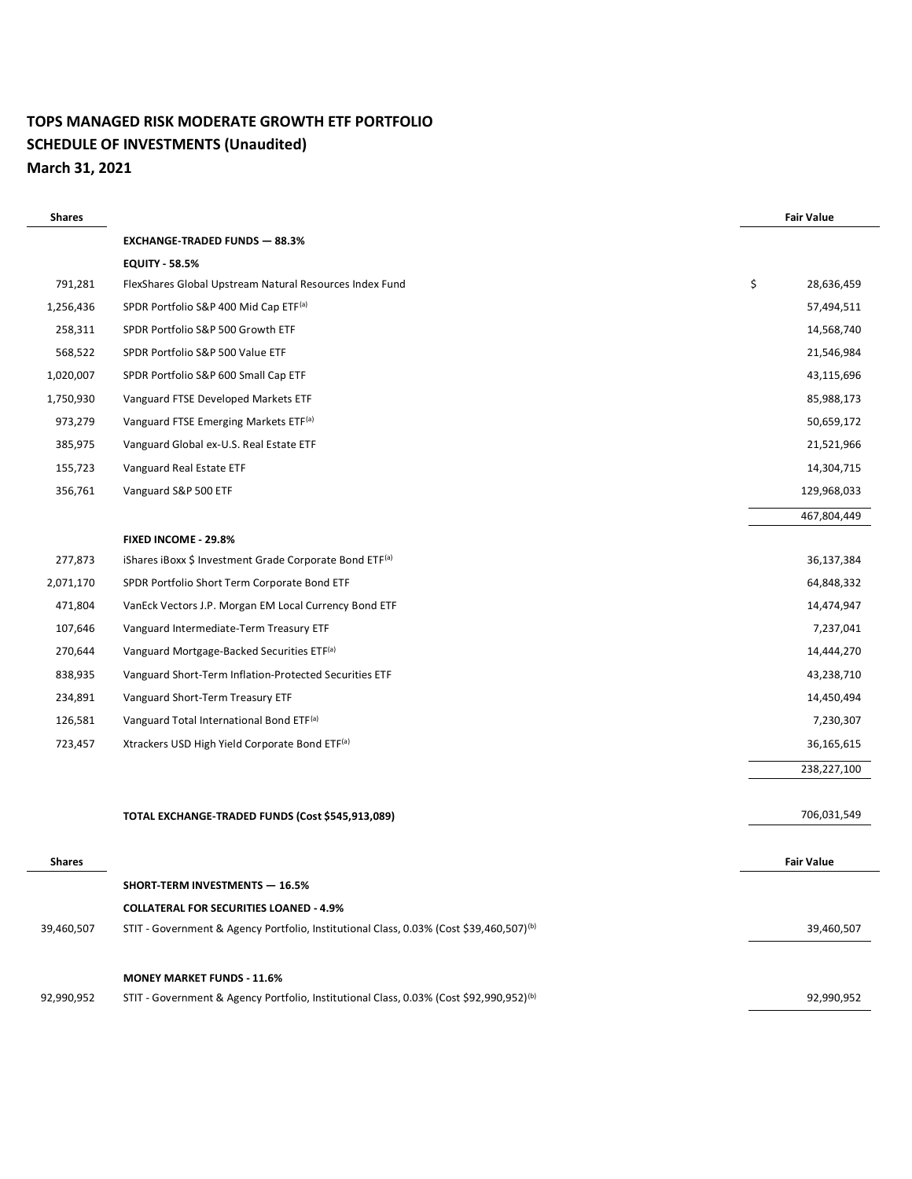# **TOPS MANAGED RISK MODERATE GROWTH ETF PORTFOLIO SCHEDULE OF INVESTMENTS (Unaudited) March 31, 2021**

| <b>Shares</b> |                                                                                                     | <b>Fair Value</b> |
|---------------|-----------------------------------------------------------------------------------------------------|-------------------|
|               | <b>EXCHANGE-TRADED FUNDS - 88.3%</b>                                                                |                   |
|               | <b>EQUITY - 58.5%</b>                                                                               |                   |
| 791,281       | FlexShares Global Upstream Natural Resources Index Fund                                             | \$<br>28,636,459  |
| 1,256,436     | SPDR Portfolio S&P 400 Mid Cap ETF <sup>(a)</sup>                                                   | 57,494,511        |
| 258,311       | SPDR Portfolio S&P 500 Growth ETF                                                                   | 14,568,740        |
| 568,522       | SPDR Portfolio S&P 500 Value ETF                                                                    | 21,546,984        |
| 1,020,007     | SPDR Portfolio S&P 600 Small Cap ETF                                                                | 43,115,696        |
| 1,750,930     | Vanguard FTSE Developed Markets ETF                                                                 | 85,988,173        |
| 973,279       | Vanguard FTSE Emerging Markets ETF <sup>(a)</sup>                                                   | 50,659,172        |
| 385,975       | Vanguard Global ex-U.S. Real Estate ETF                                                             | 21,521,966        |
| 155,723       | Vanguard Real Estate ETF                                                                            | 14,304,715        |
| 356,761       | Vanguard S&P 500 ETF                                                                                | 129,968,033       |
|               |                                                                                                     | 467,804,449       |
|               | <b>FIXED INCOME - 29.8%</b>                                                                         |                   |
| 277,873       | iShares iBoxx \$ Investment Grade Corporate Bond ETF <sup>(a)</sup>                                 | 36,137,384        |
| 2,071,170     | SPDR Portfolio Short Term Corporate Bond ETF                                                        | 64,848,332        |
| 471,804       | VanEck Vectors J.P. Morgan EM Local Currency Bond ETF                                               | 14,474,947        |
| 107,646       | Vanguard Intermediate-Term Treasury ETF                                                             | 7,237,041         |
| 270,644       | Vanguard Mortgage-Backed Securities ETF(a)                                                          | 14,444,270        |
| 838,935       | Vanguard Short-Term Inflation-Protected Securities ETF                                              | 43,238,710        |
| 234,891       | Vanguard Short-Term Treasury ETF                                                                    | 14,450,494        |
| 126,581       | Vanguard Total International Bond ETF <sup>(a)</sup>                                                | 7,230,307         |
| 723,457       | Xtrackers USD High Yield Corporate Bond ETF(a)                                                      | 36,165,615        |
|               |                                                                                                     | 238,227,100       |
|               |                                                                                                     |                   |
|               | TOTAL EXCHANGE-TRADED FUNDS (Cost \$545,913,089)                                                    | 706,031,549       |
|               |                                                                                                     |                   |
| <b>Shares</b> |                                                                                                     | <b>Fair Value</b> |
|               | <b>SHORT-TERM INVESTMENTS - 16.5%</b>                                                               |                   |
|               | <b>COLLATERAL FOR SECURITIES LOANED - 4.9%</b>                                                      |                   |
| 39,460,507    | STIT - Government & Agency Portfolio, Institutional Class, 0.03% (Cost \$39,460,507) <sup>(b)</sup> | 39,460,507        |
|               | <b>MONEY MARKET FUNDS - 11.6%</b>                                                                   |                   |
| 92,990,952    | STIT - Government & Agency Portfolio, Institutional Class, 0.03% (Cost \$92,990,952) <sup>(b)</sup> | 92,990,952        |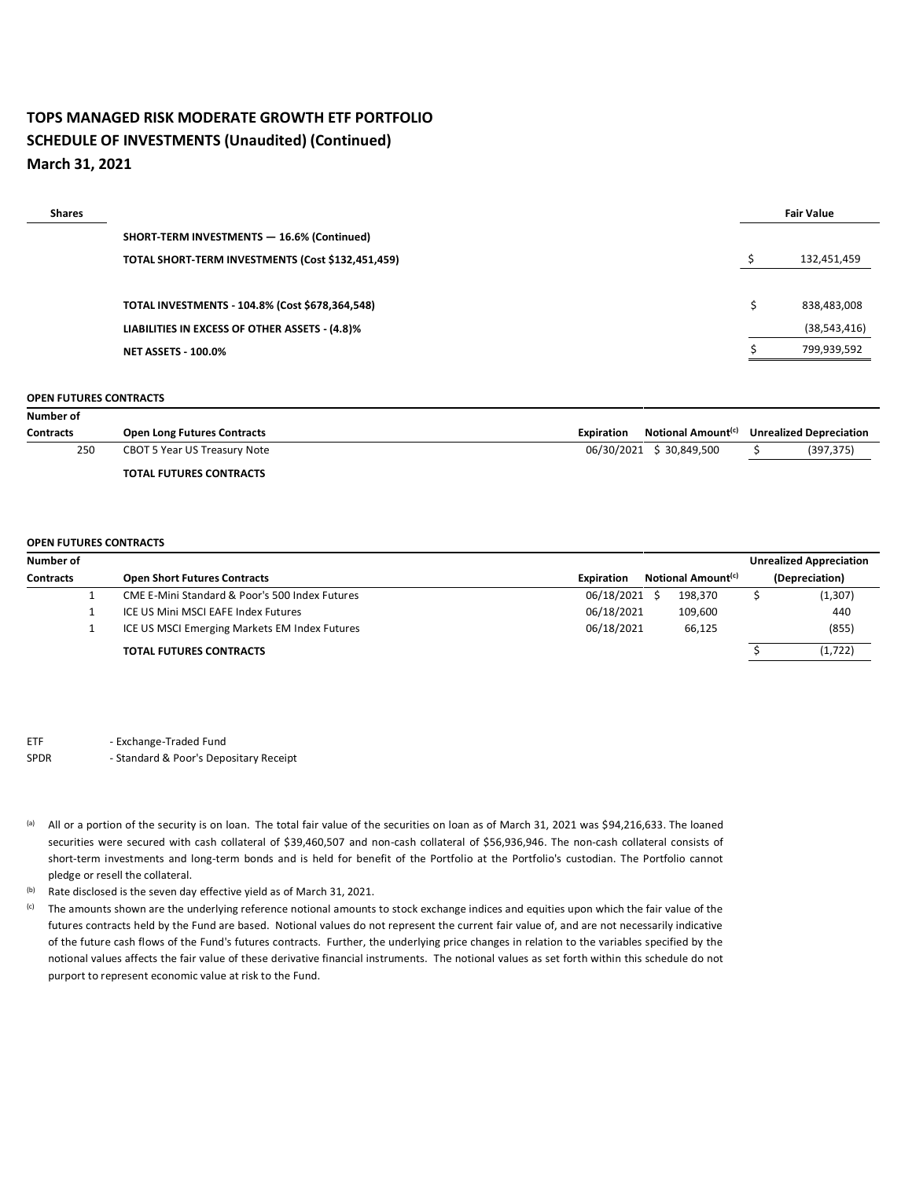## **TOPS MANAGED RISK MODERATE GROWTH ETF PORTFOLIO SCHEDULE OF INVESTMENTS (Unaudited) (Continued) March 31, 2021**

| <b>Shares</b> |                                                   | <b>Fair Value</b> |                |
|---------------|---------------------------------------------------|-------------------|----------------|
|               | SHORT-TERM INVESTMENTS - 16.6% (Continued)        |                   |                |
|               | TOTAL SHORT-TERM INVESTMENTS (Cost \$132,451,459) |                   | 132,451,459    |
|               |                                                   |                   |                |
|               | TOTAL INVESTMENTS - 104.8% (Cost \$678,364,548)   |                   | 838,483,008    |
|               | LIABILITIES IN EXCESS OF OTHER ASSETS - (4.8)%    |                   | (38, 543, 416) |
|               | <b>NET ASSETS - 100.0%</b>                        |                   | 799,939,592    |
|               |                                                   |                   |                |

#### **OPEN FUTURES CONTRACTS**

| Number of        |                                    |                                                     |                                |
|------------------|------------------------------------|-----------------------------------------------------|--------------------------------|
| <b>Contracts</b> | <b>Open Long Futures Contracts</b> | Notional Amount <sup>(c)</sup><br><b>Expiration</b> | <b>Unrealized Depreciation</b> |
| 250              | CBOT 5 Year US Treasury Note       | 06/30/2021 \$30,849,500                             | (397, 375)                     |
|                  | <b>TOTAL FUTURES CONTRACTS</b>     |                                                     |                                |

#### **OPEN FUTURES CONTRACTS**

| Number of        |                                                |                   |                                | <b>Unrealized Appreciation</b> |  |
|------------------|------------------------------------------------|-------------------|--------------------------------|--------------------------------|--|
| <b>Contracts</b> | <b>Open Short Futures Contracts</b>            | <b>Expiration</b> | Notional Amount <sup>(c)</sup> | (Depreciation)                 |  |
|                  | CME E-Mini Standard & Poor's 500 Index Futures | 06/18/2021        | 198,370                        | (1, 307)                       |  |
|                  | ICE US Mini MSCI EAFE Index Futures            | 06/18/2021        | 109,600                        | 440                            |  |
|                  | ICE US MSCI Emerging Markets EM Index Futures  | 06/18/2021        | 66.125                         | (855)                          |  |
|                  | <b>TOTAL FUTURES CONTRACTS</b>                 |                   |                                | (1, 722)                       |  |

ETF - Exchange-Traded Fund

- (a) All or a portion of the security is on loan. The total fair value of the securities on loan as of March 31, 2021 was \$94,216,633. The loaned securities were secured with cash collateral of \$39,460,507 and non-cash collateral of \$56,936,946. The non-cash collateral consists of short-term investments and long-term bonds and is held for benefit of the Portfolio at the Portfolio's custodian. The Portfolio cannot pledge or resell the collateral.
- (b) Rate disclosed is the seven day effective yield as of March 31, 2021.
- <sup>(c)</sup> The amounts shown are the underlying reference notional amounts to stock exchange indices and equities upon which the fair value of the futures contracts held by the Fund are based. Notional values do not represent the current fair value of, and are not necessarily indicative of the future cash flows of the Fund's futures contracts. Further, the underlying price changes in relation to the variables specified by the notional values affects the fair value of these derivative financial instruments. The notional values as set forth within this schedule do not purport to represent economic value at risk to the Fund.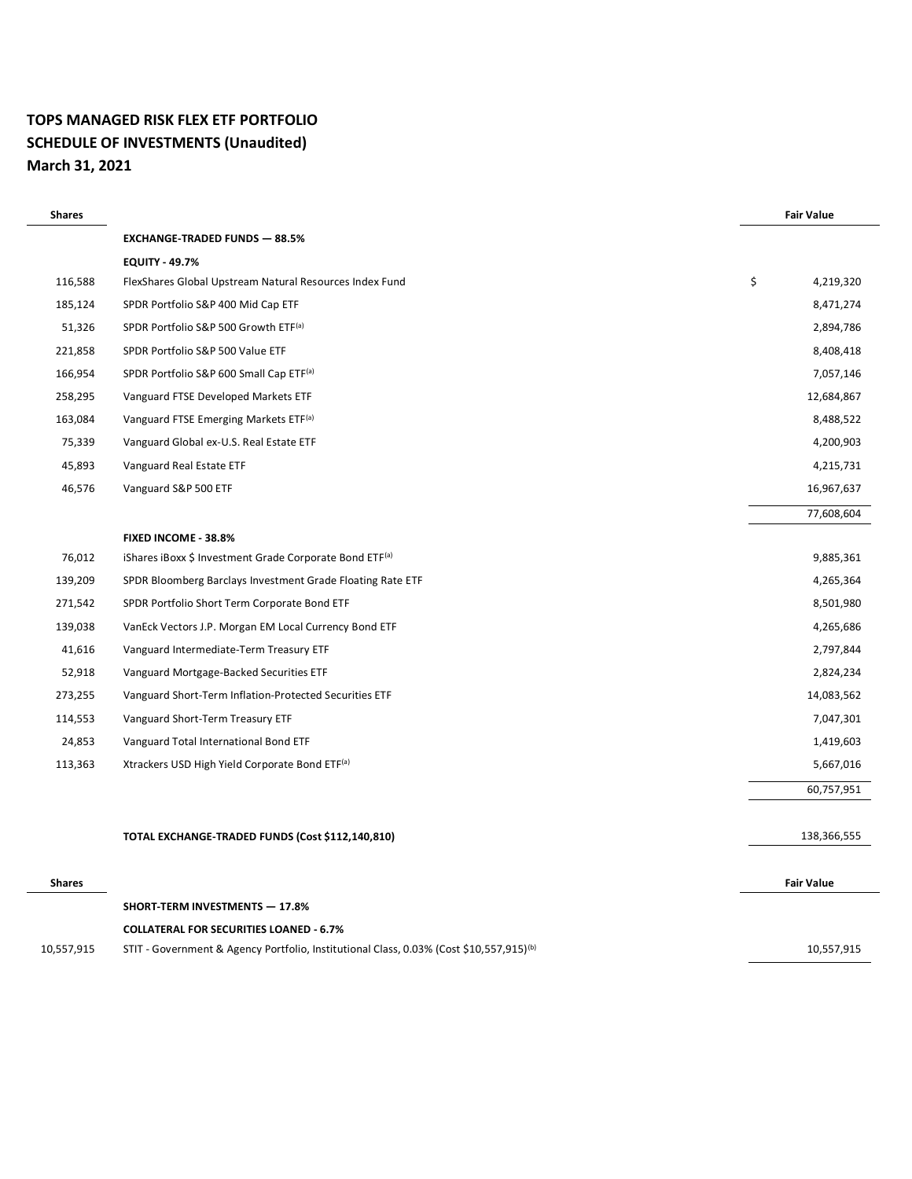#### **TOPS MANAGED RISK FLEX ETF PORTFOLIO SCHEDULE OF INVESTMENTS (Unaudited) March 31, 2021**

| <b>Shares</b> |                                                                                                     | <b>Fair Value</b> |
|---------------|-----------------------------------------------------------------------------------------------------|-------------------|
|               | <b>EXCHANGE-TRADED FUNDS - 88.5%</b>                                                                |                   |
|               | <b>EQUITY - 49.7%</b>                                                                               |                   |
| 116,588       | FlexShares Global Upstream Natural Resources Index Fund                                             | \$<br>4,219,320   |
| 185,124       | SPDR Portfolio S&P 400 Mid Cap ETF                                                                  | 8,471,274         |
| 51,326        | SPDR Portfolio S&P 500 Growth ETF(a)                                                                | 2,894,786         |
| 221,858       | SPDR Portfolio S&P 500 Value ETF                                                                    | 8,408,418         |
| 166,954       | SPDR Portfolio S&P 600 Small Cap ETF(a)                                                             | 7,057,146         |
| 258,295       | Vanguard FTSE Developed Markets ETF                                                                 | 12,684,867        |
| 163,084       | Vanguard FTSE Emerging Markets ETF <sup>(a)</sup>                                                   | 8,488,522         |
| 75,339        | Vanguard Global ex-U.S. Real Estate ETF                                                             | 4,200,903         |
| 45,893        | Vanguard Real Estate ETF                                                                            | 4,215,731         |
| 46,576        | Vanguard S&P 500 ETF                                                                                | 16,967,637        |
|               |                                                                                                     | 77,608,604        |
|               | FIXED INCOME - 38.8%                                                                                |                   |
| 76,012        | iShares iBoxx \$ Investment Grade Corporate Bond ETF <sup>(a)</sup>                                 | 9,885,361         |
| 139,209       | SPDR Bloomberg Barclays Investment Grade Floating Rate ETF                                          | 4,265,364         |
| 271,542       | SPDR Portfolio Short Term Corporate Bond ETF                                                        | 8,501,980         |
| 139,038       | VanEck Vectors J.P. Morgan EM Local Currency Bond ETF                                               | 4,265,686         |
| 41,616        | Vanguard Intermediate-Term Treasury ETF                                                             | 2,797,844         |
| 52,918        | Vanguard Mortgage-Backed Securities ETF                                                             | 2,824,234         |
| 273,255       | Vanguard Short-Term Inflation-Protected Securities ETF                                              | 14,083,562        |
| 114,553       | Vanguard Short-Term Treasury ETF                                                                    | 7,047,301         |
| 24,853        | Vanguard Total International Bond ETF                                                               | 1,419,603         |
| 113,363       | Xtrackers USD High Yield Corporate Bond ETF(a)                                                      | 5,667,016         |
|               |                                                                                                     | 60,757,951        |
|               | TOTAL EXCHANGE-TRADED FUNDS (Cost \$112,140,810)                                                    | 138,366,555       |
| <b>Shares</b> |                                                                                                     | <b>Fair Value</b> |
|               | <b>SHORT-TERM INVESTMENTS - 17.8%</b>                                                               |                   |
|               | <b>COLLATERAL FOR SECURITIES LOANED - 6.7%</b>                                                      |                   |
| 10,557,915    | STIT - Government & Agency Portfolio, Institutional Class, 0.03% (Cost \$10,557,915) <sup>(b)</sup> | 10,557,915        |